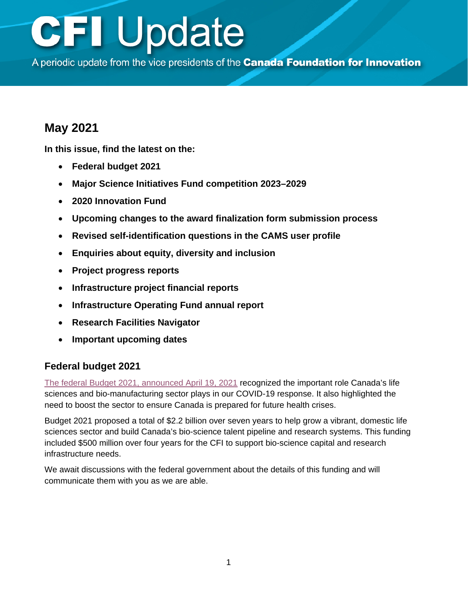A periodic update from the vice presidents of the Canada Foundation for Innovation

### **May 2021**

**In this issue, find the latest on the:**

- **Federal budget 2021**
- **[Major Science Initiatives Fund competition 2023–2029](#page-1-0)**
- **[2020 Innovation Fund](#page-1-0)**
- **[Upcoming changes to the award finalization form submission process](#page-1-0)**
- **[Revised self-identification questions in the CAMS user profile](#page-2-0)**
- **[Enquiries about equity, diversity and inclusion](#page-2-0)**
- **Project [progress reports](#page-2-0)**
- **[Infrastructure project financial reports](#page-3-0)**
- **[Infrastructure Operating Fund annual report](#page-3-0)**
- **[Research Facilities Navigator](#page-3-0)**
- **[Important upcoming dates](#page-3-0)**

### **Federal budget 2021**

[The federal Budget 2021, announced April 19, 2021](https://www.budget.gc.ca/2021/home-accueil-en.html) recognized the important role Canada's life sciences and bio-manufacturing sector plays in our COVID-19 response. It also highlighted the need to boost the sector to ensure Canada is prepared for future health crises.

Budget 2021 proposed a total of \$2.2 billion over seven years to help grow a vibrant, domestic life sciences sector and build Canada's bio-science talent pipeline and research systems. This funding included \$500 million over four years for the CFI to support bio-science capital and research infrastructure needs.

We await discussions with the federal government about the details of this funding and will communicate them with you as we are able.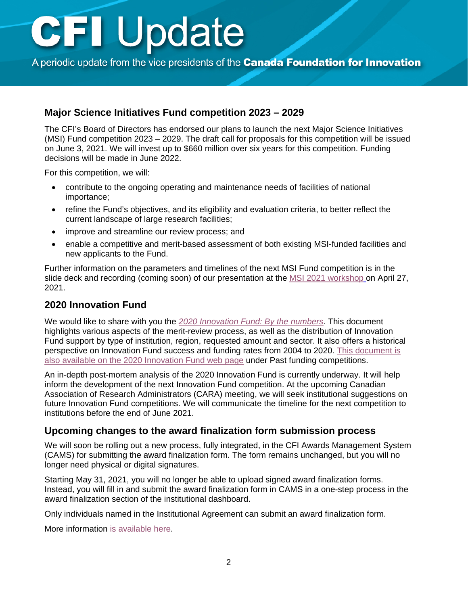<span id="page-1-0"></span>A periodic update from the vice presidents of the **Canada Foundation for Innovation** 

#### **Major Science Initiatives Fund competition 2023 – 2029**

The CFI's Board of Directors has endorsed our plans to launch the next Major Science Initiatives (MSI) Fund competition 2023 – 2029. The draft call for proposals for this competition will be issued on June 3, 2021. We will invest up to \$660 million over six years for this competition. Funding decisions will be made in June 2022.

For this competition, we will:

- contribute to the ongoing operating and maintenance needs of facilities of national importance;
- refine the Fund's objectives, and its eligibility and evaluation criteria, to better reflect the current landscape of large research facilities;
- improve and streamline our review process; and
- enable a competitive and merit-based assessment of both existing MSI-funded facilities and new applicants to the Fund.

Further information on the parameters and timelines of the next MSI Fund competition is in the slide deck and recording (coming soon) of our presentation at the [MSI 2021 workshop](https://www.innovation.ca/2021-major-science-initiatives-workshop#tab-session-4) on April 27, 2021.

#### **2020 Innovation Fund**

We would like to share with you the *[2020 Innovation Fund: By the numbers](https://www.innovation.ca/awards/2020-innovation-fund)*. This document highlights various aspects of the merit-review process, as well as the distribution of Innovation Fund support by type of institution, region, requested amount and sector. It also offers a historical perspective on Innovation Fund success and funding rates from 2004 to 2020. [This document is](https://www.innovation.ca/awards/past-funding-competitions)  [also available on the 2020 Innovation Fund web page](https://www.innovation.ca/awards/past-funding-competitions) under Past funding competitions.

An in-depth post-mortem analysis of the 2020 Innovation Fund is currently underway. It will help inform the development of the next Innovation Fund competition. At the upcoming Canadian Association of Research Administrators (CARA) meeting, we will seek institutional suggestions on future Innovation Fund competitions. We will communicate the timeline for the next competition to institutions before the end of June 2021.

#### **Upcoming changes to the award finalization form submission process**

We will soon be rolling out a new process, fully integrated, in the CFI Awards Management System (CAMS) for submitting the award finalization form. The form remains unchanged, but you will no longer need physical or digital signatures.

Starting May 31, 2021, you will no longer be able to upload signed award finalization forms. Instead, you will fill in and submit the award finalization form in CAMS in a one-step process in the award finalization section of the institutional dashboard.

Only individuals named in the Institutional Agreement can submit an award finalization form.

More information [is available here.](https://www.innovation.ca/awards/manage-awards/forms-and-templates)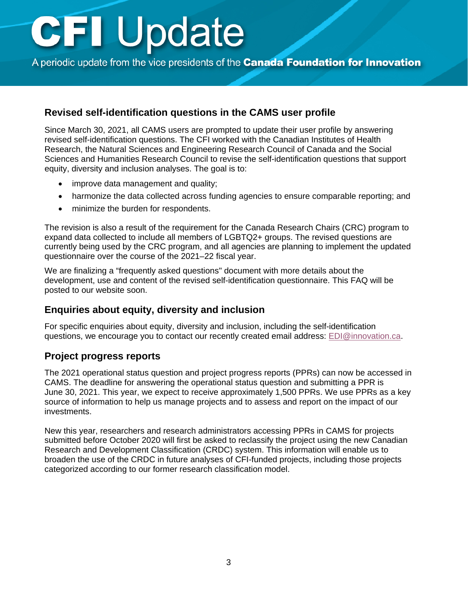<span id="page-2-0"></span>A periodic update from the vice presidents of the **Canada Foundation for Innovation** 

#### **Revised self-identification questions in the CAMS user profile**

Since March 30, 2021, all CAMS users are prompted to update their user profile by answering revised self-identification questions. The CFI worked with the Canadian Institutes of Health Research, the Natural Sciences and Engineering Research Council of Canada and the Social Sciences and Humanities Research Council to revise the self-identification questions that support equity, diversity and inclusion analyses. The goal is to:

- improve data management and quality;
- harmonize the data collected across funding agencies to ensure comparable reporting; and
- minimize the burden for respondents.

The revision is also a result of the requirement for the Canada Research Chairs (CRC) program to expand data collected to include all members of LGBTQ2+ groups. The revised questions are currently being used by the CRC program, and all agencies are planning to implement the updated questionnaire over the course of the 2021–22 fiscal year.

We are finalizing a "frequently asked questions" document with more details about the development, use and content of the revised self-identification questionnaire. This FAQ will be posted to our website soon.

#### **Enquiries about equity, diversity and inclusion**

For specific enquiries about equity, diversity and inclusion, including the self-identification questions, we encourage you to contact our recently created email address: [EDI@innovation.ca.](mailto:EDI@innovation.ca)

#### **Project progress reports**

The 2021 operational status question and project progress reports (PPRs) can now be accessed in CAMS. The deadline for answering the operational status question and submitting a PPR is June 30, 2021. This year, we expect to receive approximately 1,500 PPRs. We use PPRs as a key source of information to help us manage projects and to assess and report on the impact of our investments.

New this year, researchers and research administrators accessing PPRs in CAMS for projects submitted before October 2020 will first be asked to reclassify the project using the new Canadian Research and Development Classification (CRDC) system. This information will enable us to broaden the use of the CRDC in future analyses of CFI-funded projects, including those projects categorized according to our former research classification model.